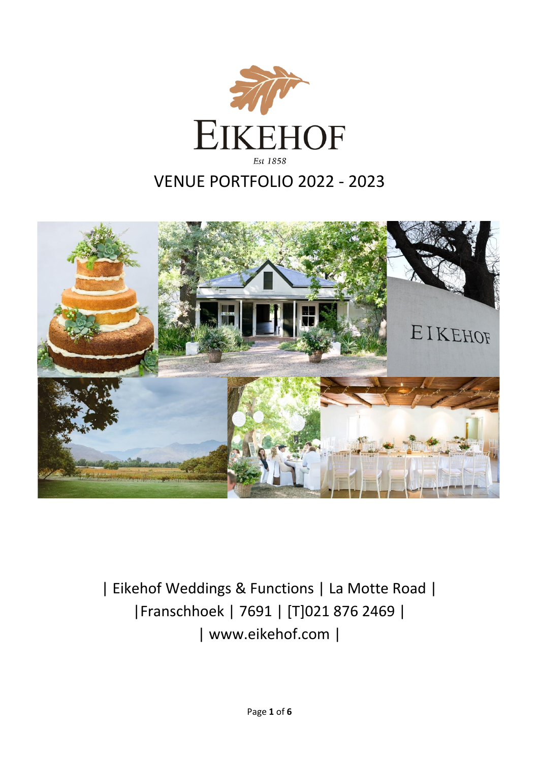



| Eikehof Weddings & Functions | La Motte Road | |Franschhoek | 7691 | [T]021 876 2469 | | www.eikehof.com |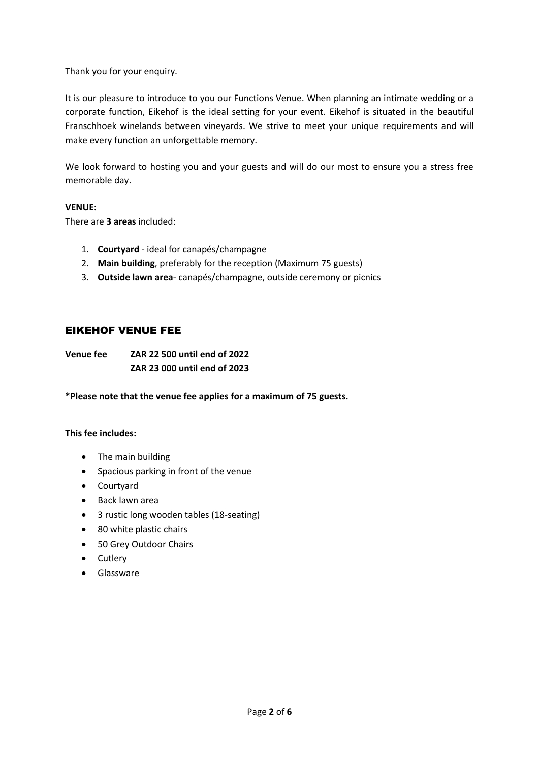Thank you for your enquiry.

It is our pleasure to introduce to you our Functions Venue. When planning an intimate wedding or a corporate function, Eikehof is the ideal setting for your event. Eikehof is situated in the beautiful Franschhoek winelands between vineyards. We strive to meet your unique requirements and will make every function an unforgettable memory.

We look forward to hosting you and your guests and will do our most to ensure you a stress free memorable day.

### **VENUE:**

There are **3 areas** included:

- 1. **Courtyard**  ideal for canapés/champagne
- 2. **Main building**, preferably for the reception (Maximum 75 guests)
- 3. **Outside lawn area** canapés/champagne, outside ceremony or picnics

# EIKEHOF VENUE FEE

**Venue fee ZAR 22 500 until end of 2022 ZAR 23 000 until end of 2023**

**\*Please note that the venue fee applies for a maximum of 75 guests.**

## **This fee includes:**

- The main building
- Spacious parking in front of the venue
- Courtyard
- Back lawn area
- 3 rustic long wooden tables (18-seating)
- 80 white plastic chairs
- 50 Grey Outdoor Chairs
- Cutlery
- Glassware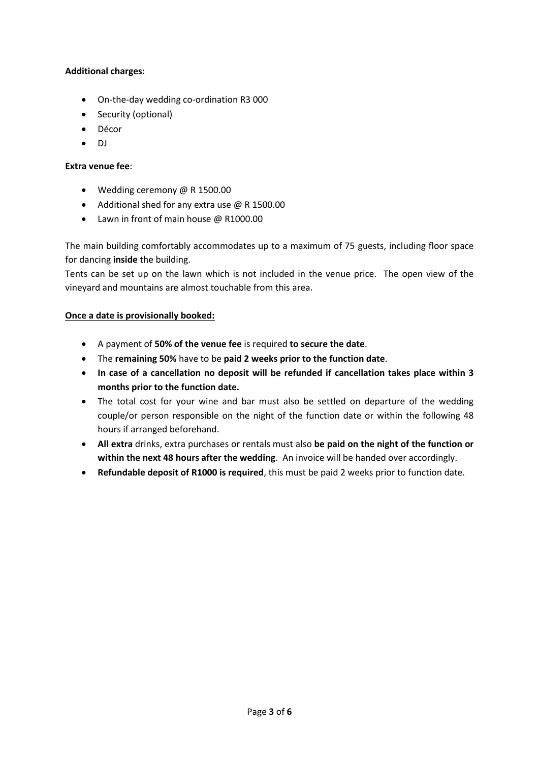## **Additional charges:**

- On-the-day wedding co-ordination R3 000
- Security (optional)
- Décor
- DJ

### **Extra venue fee**:

- Wedding ceremony @ R 1500.00
- Additional shed for any extra use @ R 1500.00
- Lawn in front of main house @ R1000.00

The main building comfortably accommodates up to a maximum of 75 guests, including floor space for dancing **inside** the building.

Tents can be set up on the lawn which is not included in the venue price. The open view of the vineyard and mountains are almost touchable from this area.

### **Once a date is provisionally booked:**

- A payment of **50% of the venue fee** is required **to secure the date**.
- The **remaining 50%** have to be **paid 2 weeks prior to the function date**.
- **In case of a cancellation no deposit will be refunded if cancellation takes place within 3 months prior to the function date.**
- The total cost for your wine and bar must also be settled on departure of the wedding couple/or person responsible on the night of the function date or within the following 48 hours if arranged beforehand.
- **All extra** drinks, extra purchases or rentals must also **be paid on the night of the function or within the next 48 hours after the wedding**. An invoice will be handed over accordingly.
- **Refundable deposit of R1000 is required**, this must be paid 2 weeks prior to function date.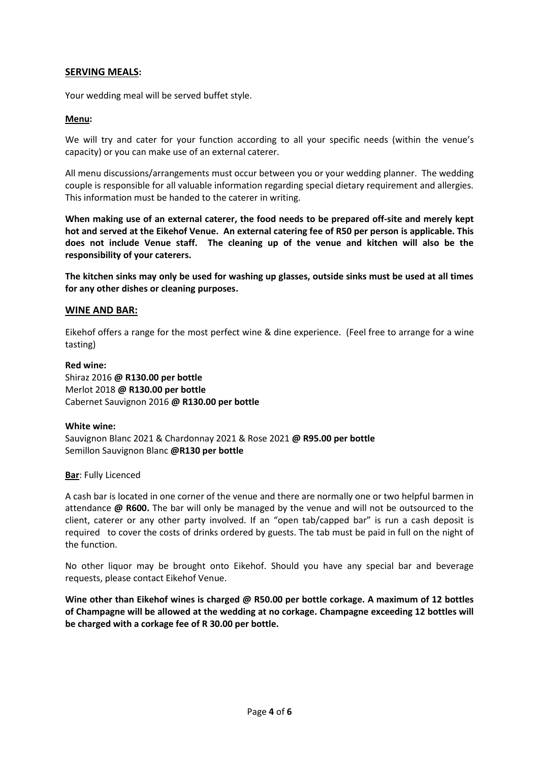## **SERVING MEALS:**

Your wedding meal will be served buffet style.

### **Menu:**

We will try and cater for your function according to all your specific needs (within the venue's capacity) or you can make use of an external caterer.

All menu discussions/arrangements must occur between you or your wedding planner. The wedding couple is responsible for all valuable information regarding special dietary requirement and allergies. This information must be handed to the caterer in writing.

**When making use of an external caterer, the food needs to be prepared off-site and merely kept hot and served at the Eikehof Venue. An external catering fee of R50 per person is applicable. This does not include Venue staff. The cleaning up of the venue and kitchen will also be the responsibility of your caterers.**

**The kitchen sinks may only be used for washing up glasses, outside sinks must be used at all times for any other dishes or cleaning purposes.**

### **WINE AND BAR:**

Eikehof offers a range for the most perfect wine & dine experience. (Feel free to arrange for a wine tasting)

### **Red wine:**

Shiraz 2016 **@ R130.00 per bottle** Merlot 2018 **@ R130.00 per bottle** Cabernet Sauvignon 2016 **@ R130.00 per bottle**

### **White wine:**

Sauvignon Blanc 2021 & Chardonnay 2021 & Rose 2021 **@ R95.00 per bottle** Semillon Sauvignon Blanc **@R130 per bottle**

### **Bar**: Fully Licenced

A cash bar is located in one corner of the venue and there are normally one or two helpful barmen in attendance **@ R600.** The bar will only be managed by the venue and will not be outsourced to the client, caterer or any other party involved. If an "open tab/capped bar" is run a cash deposit is required to cover the costs of drinks ordered by guests. The tab must be paid in full on the night of the function.

No other liquor may be brought onto Eikehof. Should you have any special bar and beverage requests, please contact Eikehof Venue.

**Wine other than Eikehof wines is charged @ R50.00 per bottle corkage. A maximum of 12 bottles of Champagne will be allowed at the wedding at no corkage. Champagne exceeding 12 bottles will be charged with a corkage fee of R 30.00 per bottle.**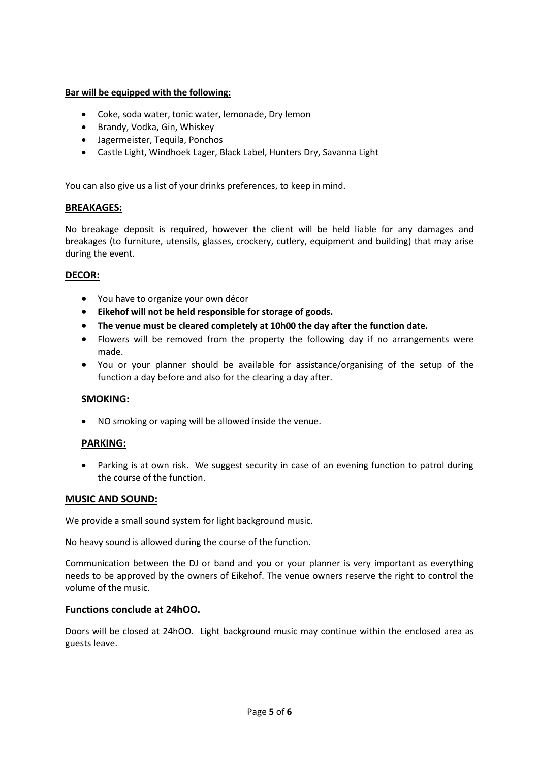## **Bar will be equipped with the following:**

- Coke, soda water, tonic water, lemonade, Dry lemon
- Brandy, Vodka, Gin, Whiskey
- Jagermeister, Tequila, Ponchos
- Castle Light, Windhoek Lager, Black Label, Hunters Dry, Savanna Light

You can also give us a list of your drinks preferences, to keep in mind.

### **BREAKAGES:**

No breakage deposit is required, however the client will be held liable for any damages and breakages (to furniture, utensils, glasses, crockery, cutlery, equipment and building) that may arise during the event.

## **DECOR:**

- You have to organize your own décor
- **Eikehof will not be held responsible for storage of goods.**
- **The venue must be cleared completely at 10h00 the day after the function date.**
- Flowers will be removed from the property the following day if no arrangements were made.
- You or your planner should be available for assistance/organising of the setup of the function a day before and also for the clearing a day after.

### **SMOKING:**

• NO smoking or vaping will be allowed inside the venue.

## **PARKING:**

Parking is at own risk. We suggest security in case of an evening function to patrol during the course of the function.

### **MUSIC AND SOUND:**

We provide a small sound system for light background music.

No heavy sound is allowed during the course of the function.

Communication between the DJ or band and you or your planner is very important as everything needs to be approved by the owners of Eikehof. The venue owners reserve the right to control the volume of the music.

### **Functions conclude at 24hOO.**

Doors will be closed at 24hOO. Light background music may continue within the enclosed area as guests leave.